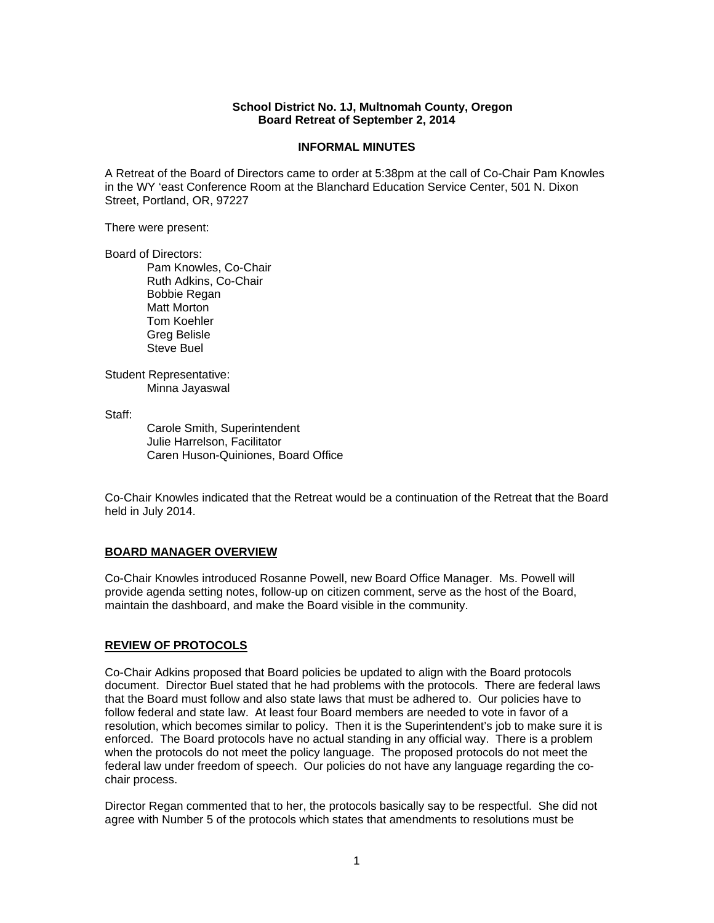### **School District No. 1J, Multnomah County, Oregon Board Retreat of September 2, 2014**

#### **INFORMAL MINUTES**

A Retreat of the Board of Directors came to order at 5:38pm at the call of Co-Chair Pam Knowles in the WY 'east Conference Room at the Blanchard Education Service Center, 501 N. Dixon Street, Portland, OR, 97227

There were present:

Board of Directors:

Pam Knowles, Co-Chair Ruth Adkins, Co-Chair Bobbie Regan Matt Morton Tom Koehler Greg Belisle Steve Buel

Student Representative: Minna Jayaswal

Staff:

 Carole Smith, Superintendent Julie Harrelson, Facilitator Caren Huson-Quiniones, Board Office

Co-Chair Knowles indicated that the Retreat would be a continuation of the Retreat that the Board held in July 2014.

### **BOARD MANAGER OVERVIEW**

Co-Chair Knowles introduced Rosanne Powell, new Board Office Manager. Ms. Powell will provide agenda setting notes, follow-up on citizen comment, serve as the host of the Board, maintain the dashboard, and make the Board visible in the community.

### **REVIEW OF PROTOCOLS**

Co-Chair Adkins proposed that Board policies be updated to align with the Board protocols document. Director Buel stated that he had problems with the protocols. There are federal laws that the Board must follow and also state laws that must be adhered to. Our policies have to follow federal and state law. At least four Board members are needed to vote in favor of a resolution, which becomes similar to policy. Then it is the Superintendent's job to make sure it is enforced. The Board protocols have no actual standing in any official way. There is a problem when the protocols do not meet the policy language. The proposed protocols do not meet the federal law under freedom of speech. Our policies do not have any language regarding the cochair process.

Director Regan commented that to her, the protocols basically say to be respectful. She did not agree with Number 5 of the protocols which states that amendments to resolutions must be